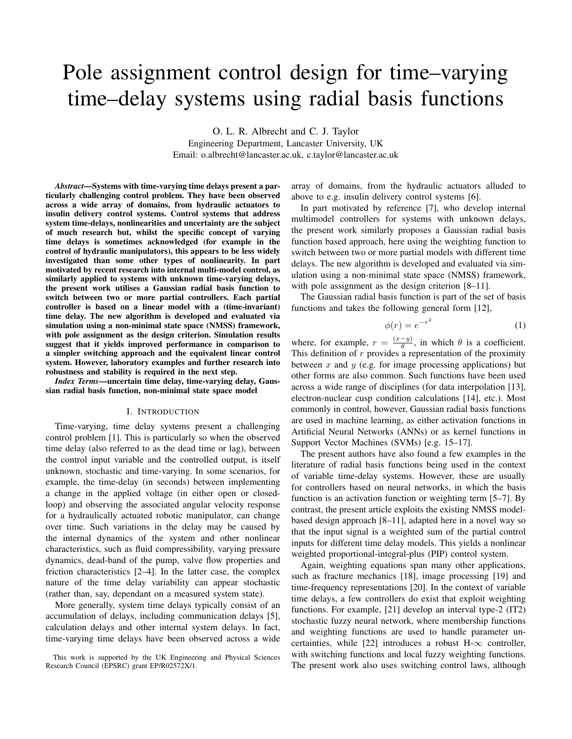# Pole assignment control design for time–varying time–delay systems using radial basis functions

O. L. R. Albrecht and C. J. Taylor Engineering Department, Lancaster University, UK Email: o.albrecht@lancaster.ac.uk, c.taylor@lancaster.ac.uk

*Abstract*—Systems with time-varying time delays present a particularly challenging control problem. They have been observed across a wide array of domains, from hydraulic actuators to insulin delivery control systems. Control systems that address system time-delays, nonlinearities and uncertainty are the subject of much research but, whilst the specific concept of varying time delays is sometimes acknowledged (for example in the control of hydraulic manipulators), this appears to be less widely investigated than some other types of nonlinearity. In part motivated by recent research into internal multi-model control, as similarly applied to systems with unknown time-varying delays, the present work utilises a Gaussian radial basis function to switch between two or more partial controllers. Each partial controller is based on a linear model with a (time-invariant) time delay. The new algorithm is developed and evaluated via simulation using a non-minimal state space (NMSS) framework, with pole assignment as the design criterion. Simulation results suggest that it yields improved performance in comparison to a simpler switching approach and the equivalent linear control system. However, laboratory examples and further research into robustness and stability is required in the next step.

*Index Terms*—uncertain time delay, time-varying delay, Gaussian radial basis function, non-minimal state space model

## I. INTRODUCTION

Time-varying, time delay systems present a challenging control problem [1]. This is particularly so when the observed time delay (also referred to as the dead time or lag), between the control input variable and the controlled output, is itself unknown, stochastic and time-varying. In some scenarios, for example, the time-delay (in seconds) between implementing a change in the applied voltage (in either open or closedloop) and observing the associated angular velocity response for a hydraulically actuated robotic manipulator, can change over time. Such variations in the delay may be caused by the internal dynamics of the system and other nonlinear characteristics, such as fluid compressibility, varying pressure dynamics, dead-band of the pump, valve flow properties and friction characteristics [2–4]. In the latter case, the complex nature of the time delay variability can appear stochastic (rather than, say, dependant on a measured system state).

More generally, system time delays typically consist of an accumulation of delays, including communication delays [5], calculation delays and other internal system delays. In fact, time-varying time delays have been observed across a wide

This work is supported by the UK Engineering and Physical Sciences Research Council (EPSRC) grant EP/R02572X/1.

array of domains, from the hydraulic actuators alluded to above to e.g. insulin delivery control systems [6].

In part motivated by reference [7], who develop internal multimodel controllers for systems with unknown delays, the present work similarly proposes a Gaussian radial basis function based approach, here using the weighting function to switch between two or more partial models with different time delays. The new algorithm is developed and evaluated via simulation using a non-minimal state space (NMSS) framework, with pole assignment as the design criterion [8–11].

The Gaussian radial basis function is part of the set of basis functions and takes the following general form [12],

$$
\phi(r) = e^{-r^2} \tag{1}
$$

where, for example,  $r = \frac{(x-y)}{\theta}$  $\frac{-y_j}{\theta}$ , in which  $\theta$  is a coefficient. This definition of  $r$  provides a representation of the proximity between  $x$  and  $y$  (e.g. for image processing applications) but other forms are also common. Such functions have been used across a wide range of disciplines (for data interpolation [13], electron-nuclear cusp condition calculations [14], etc.). Most commonly in control, however, Gaussian radial basis functions are used in machine learning, as either activation functions in Artificial Neural Networks (ANNs) or as kernel functions in Support Vector Machines (SVMs) [e.g. 15–17].

The present authors have also found a few examples in the literature of radial basis functions being used in the context of variable time-delay systems. However, these are usually for controllers based on neural networks, in which the basis function is an activation function or weighting term [5–7]. By contrast, the present article exploits the existing NMSS modelbased design approach [8–11], adapted here in a novel way so that the input signal is a weighted sum of the partial control inputs for different time delay models. This yields a nonlinear weighted proportional-integral-plus (PIP) control system.

Again, weighting equations span many other applications, such as fracture mechanics [18], image processing [19] and time-frequency representations [20]. In the context of variable time delays, a few controllers do exist that exploit weighting functions. For example, [21] develop an interval type-2 (IT2) stochastic fuzzy neural network, where membership functions and weighting functions are used to handle parameter uncertainties, while [22] introduces a robust H- $\infty$  controller, with switching functions and local fuzzy weighting functions. The present work also uses switching control laws, although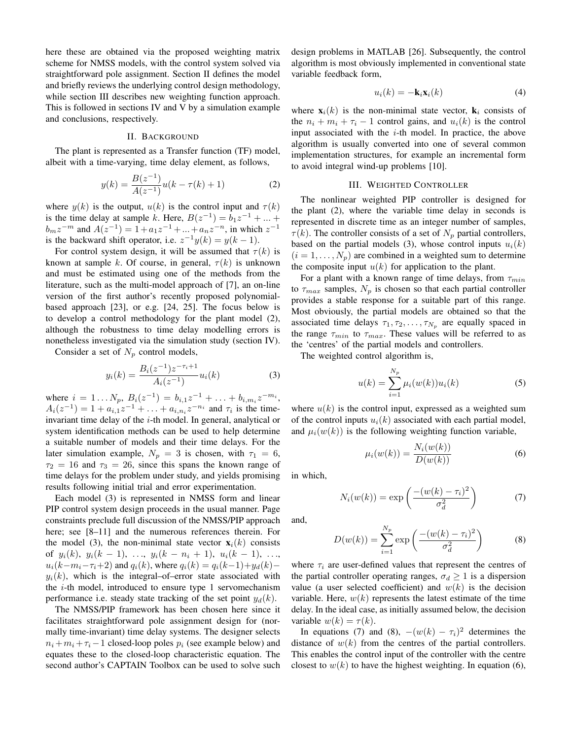here these are obtained via the proposed weighting matrix scheme for NMSS models, with the control system solved via straightforward pole assignment. Section II defines the model and briefly reviews the underlying control design methodology, while section III describes new weighting function approach. This is followed in sections IV and V by a simulation example and conclusions, respectively.

## II. BACKGROUND

The plant is represented as a Transfer function (TF) model, albeit with a time-varying, time delay element, as follows,

$$
y(k) = \frac{B(z^{-1})}{A(z^{-1})}u(k - \tau(k) + 1)
$$
 (2)

where  $y(k)$  is the output,  $u(k)$  is the control input and  $\tau(k)$ is the time delay at sample k. Here,  $B(z^{-1}) = b_1 z^{-1} + ... +$  $b_m z^{-m}$  and  $A(z^{-1}) = 1 + a_1 z^{-1} + ... + a_n z^{-n}$ , in which  $z^{-1}$ is the backward shift operator, i.e.  $z^{-1}y(k) = y(k-1)$ .

For control system design, it will be assumed that  $\tau(k)$  is known at sample k. Of course, in general,  $\tau(k)$  is unknown and must be estimated using one of the methods from the literature, such as the multi-model approach of [7], an on-line version of the first author's recently proposed polynomialbased approach [23], or e.g. [24, 25]. The focus below is to develop a control methodology for the plant model (2), although the robustness to time delay modelling errors is nonetheless investigated via the simulation study (section IV).

Consider a set of  $N_p$  control models,

$$
y_i(k) = \frac{B_i(z^{-1})z^{-\tau_i+1}}{A_i(z^{-1})}u_i(k)
$$
 (3)

where  $i = 1...N_p$ ,  $B_i(z^{-1}) = b_{i,1}z^{-1} + ... + b_{i,m_i}z^{-m_i}$ ,  $A_i(z^{-1}) = 1 + a_{i,1}z^{-1} + \ldots + a_{i,n_i}z^{-n_i}$  and  $\tau_i$  is the timeinvariant time delay of the  $i$ -th model. In general, analytical or system identification methods can be used to help determine a suitable number of models and their time delays. For the later simulation example,  $N_p = 3$  is chosen, with  $\tau_1 = 6$ ,  $\tau_2 = 16$  and  $\tau_3 = 26$ , since this spans the known range of time delays for the problem under study, and yields promising results following initial trial and error experimentation.

Each model (3) is represented in NMSS form and linear PIP control system design proceeds in the usual manner. Page constraints preclude full discussion of the NMSS/PIP approach here; see [8–11] and the numerous references therein. For the model (3), the non-minimal state vector  $\mathbf{x}_i(k)$  consists of  $y_i(k)$ ,  $y_i(k-1)$ , ...,  $y_i(k-n_i+1)$ ,  $u_i(k-1)$ , ...,  $u_i(k-m_i-\tau_i+2)$  and  $q_i(k)$ , where  $q_i(k) = q_i(k-1)+y_d(k)$  $y_i(k)$ , which is the integral–of–error state associated with the  $i$ -th model, introduced to ensure type 1 servomechanism performance i.e. steady state tracking of the set point  $y_d(k)$ .

The NMSS/PIP framework has been chosen here since it facilitates straightforward pole assignment design for (normally time-invariant) time delay systems. The designer selects  $n_i + m_i + \tau_i - 1$  closed-loop poles  $p_i$  (see example below) and equates these to the closed-loop characteristic equation. The second author's CAPTAIN Toolbox can be used to solve such design problems in MATLAB [26]. Subsequently, the control algorithm is most obviously implemented in conventional state variable feedback form,

$$
u_i(k) = -\mathbf{k}_i \mathbf{x}_i(k) \tag{4}
$$

where  $\mathbf{x}_i(k)$  is the non-minimal state vector,  $\mathbf{k}_i$  consists of the  $n_i + m_i + \tau_i - 1$  control gains, and  $u_i(k)$  is the control input associated with the  $i$ -th model. In practice, the above algorithm is usually converted into one of several common implementation structures, for example an incremental form to avoid integral wind-up problems [10].

## III. WEIGHTED CONTROLLER

The nonlinear weighted PIP controller is designed for the plant (2), where the variable time delay in seconds is represented in discrete time as an integer number of samples,  $\tau(k)$ . The controller consists of a set of  $N_p$  partial controllers, based on the partial models (3), whose control inputs  $u_i(k)$  $(i = 1, \ldots, N_p)$  are combined in a weighted sum to determine the composite input  $u(k)$  for application to the plant.

For a plant with a known range of time delays, from  $\tau_{min}$ to  $\tau_{max}$  samples,  $N_p$  is chosen so that each partial controller provides a stable response for a suitable part of this range. Most obviously, the partial models are obtained so that the associated time delays  $\tau_1, \tau_2, \ldots, \tau_{N_p}$  are equally spaced in the range  $\tau_{min}$  to  $\tau_{max}$ . These values will be referred to as the 'centres' of the partial models and controllers.

The weighted control algorithm is,

$$
u(k) = \sum_{i=1}^{N_p} \mu_i(w(k)) u_i(k)
$$
 (5)

where  $u(k)$  is the control input, expressed as a weighted sum of the control inputs  $u_i(k)$  associated with each partial model, and  $\mu_i(w(k))$  is the following weighting function variable,

$$
\mu_i(w(k)) = \frac{N_i(w(k))}{D(w(k))} \tag{6}
$$

in which,

$$
N_i(w(k)) = \exp\left(\frac{-(w(k) - \tau_i)^2}{\sigma_d^2}\right) \tag{7}
$$

and,

$$
D(w(k)) = \sum_{i=1}^{N_p} \exp\left(\frac{-(w(k) - \tau_i)^2}{\sigma_d^2}\right)
$$
 (8)

where  $\tau_i$  are user-defined values that represent the centres of the partial controller operating ranges,  $\sigma_d \geq 1$  is a dispersion value (a user selected coefficient) and  $w(k)$  is the decision variable. Here,  $w(k)$  represents the latest estimate of the time delay. In the ideal case, as initially assumed below, the decision variable  $w(k) = \tau(k)$ .

In equations (7) and (8),  $-(w(k) - \tau_i)^2$  determines the distance of  $w(k)$  from the centres of the partial controllers. This enables the control input of the controller with the centre closest to  $w(k)$  to have the highest weighting. In equation (6),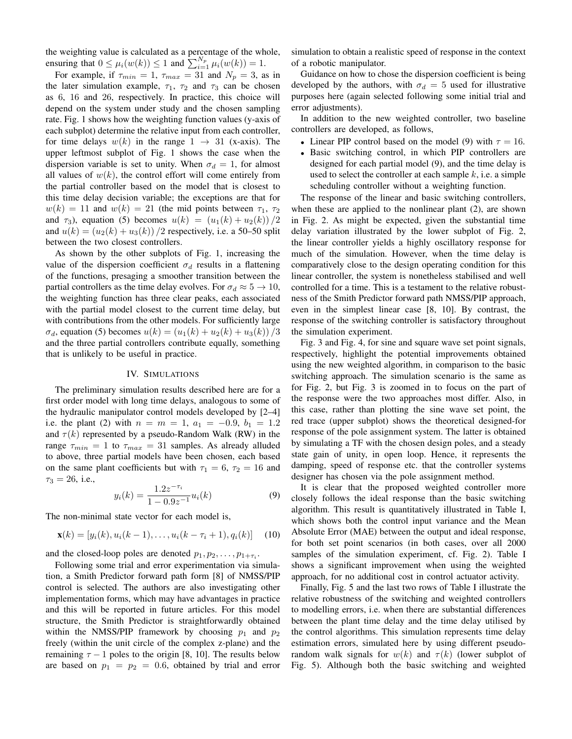the weighting value is calculated as a percentage of the whole, ensuring that  $0 \leq \mu_i(w(k)) \leq 1$  and  $\sum_{i=1}^{N_p} \mu_i(w(k)) = 1$ .

For example, if  $\tau_{min} = 1$ ,  $\tau_{max} = 31$  and  $N_p = 3$ , as in the later simulation example,  $\tau_1$ ,  $\tau_2$  and  $\tau_3$  can be chosen as 6, 16 and 26, respectively. In practice, this choice will depend on the system under study and the chosen sampling rate. Fig. 1 shows how the weighting function values (y-axis of each subplot) determine the relative input from each controller, for time delays  $w(k)$  in the range  $1 \rightarrow 31$  (x-axis). The upper leftmost subplot of Fig. 1 shows the case when the dispersion variable is set to unity. When  $\sigma_d = 1$ , for almost all values of  $w(k)$ , the control effort will come entirely from the partial controller based on the model that is closest to this time delay decision variable; the exceptions are that for  $w(k) = 11$  and  $w(k) = 21$  (the mid points between  $\tau_1$ ,  $\tau_2$ ) and  $\tau_3$ ), equation (5) becomes  $u(k) = (u_1(k) + u_2(k))/2$ and  $u(k) = (u_2(k) + u_3(k))/2$  respectively, i.e. a 50–50 split between the two closest controllers.

As shown by the other subplots of Fig. 1, increasing the value of the dispersion coefficient  $\sigma_d$  results in a flattening of the functions, presaging a smoother transition between the partial controllers as the time delay evolves. For  $\sigma_d \approx 5 \rightarrow 10$ , the weighting function has three clear peaks, each associated with the partial model closest to the current time delay, but with contributions from the other models. For sufficiently large  $\sigma_d$ , equation (5) becomes  $u(k) = (u_1(k) + u_2(k) + u_3(k))/3$ and the three partial controllers contribute equally, something that is unlikely to be useful in practice.

### IV. SIMULATIONS

The preliminary simulation results described here are for a first order model with long time delays, analogous to some of the hydraulic manipulator control models developed by [2–4] i.e. the plant (2) with  $n = m = 1$ ,  $a_1 = -0.9$ ,  $b_1 = 1.2$ and  $\tau(k)$  represented by a pseudo-Random Walk (RW) in the range  $\tau_{min} = 1$  to  $\tau_{max} = 31$  samples. As already alluded to above, three partial models have been chosen, each based on the same plant coefficients but with  $\tau_1 = 6$ ,  $\tau_2 = 16$  and  $\tau_3 = 26$ , i.e.,

$$
y_i(k) = \frac{1.2z^{-\tau_i}}{1 - 0.9z^{-1}} u_i(k)
$$
\n(9)

The non-minimal state vector for each model is,

$$
\mathbf{x}(k) = [y_i(k), u_i(k-1), \dots, u_i(k-\tau_i+1), q_i(k)] \quad (10)
$$

and the closed-loop poles are denoted  $p_1, p_2, \ldots, p_{1+\tau_i}$ .

Following some trial and error experimentation via simulation, a Smith Predictor forward path form [8] of NMSS/PIP control is selected. The authors are also investigating other implementation forms, which may have advantages in practice and this will be reported in future articles. For this model structure, the Smith Predictor is straightforwardly obtained within the NMSS/PIP framework by choosing  $p_1$  and  $p_2$ freely (within the unit circle of the complex z-plane) and the remaining  $\tau - 1$  poles to the origin [8, 10]. The results below are based on  $p_1 = p_2 = 0.6$ , obtained by trial and error simulation to obtain a realistic speed of response in the context of a robotic manipulator.

Guidance on how to chose the dispersion coefficient is being developed by the authors, with  $\sigma_d = 5$  used for illustrative purposes here (again selected following some initial trial and error adjustments).

In addition to the new weighted controller, two baseline controllers are developed, as follows,

- Linear PIP control based on the model (9) with  $\tau = 16$ .
- Basic switching control, in which PIP controllers are designed for each partial model (9), and the time delay is used to select the controller at each sample  $k$ , i.e. a simple scheduling controller without a weighting function.

The response of the linear and basic switching controllers, when these are applied to the nonlinear plant (2), are shown in Fig. 2. As might be expected, given the substantial time delay variation illustrated by the lower subplot of Fig. 2, the linear controller yields a highly oscillatory response for much of the simulation. However, when the time delay is comparatively close to the design operating condition for this linear controller, the system is nonetheless stabilised and well controlled for a time. This is a testament to the relative robustness of the Smith Predictor forward path NMSS/PIP approach, even in the simplest linear case [8, 10]. By contrast, the response of the switching controller is satisfactory throughout the simulation experiment.

Fig. 3 and Fig. 4, for sine and square wave set point signals, respectively, highlight the potential improvements obtained using the new weighted algorithm, in comparison to the basic switching approach. The simulation scenario is the same as for Fig. 2, but Fig. 3 is zoomed in to focus on the part of the response were the two approaches most differ. Also, in this case, rather than plotting the sine wave set point, the red trace (upper subplot) shows the theoretical designed-for response of the pole assignment system. The latter is obtained by simulating a TF with the chosen design poles, and a steady state gain of unity, in open loop. Hence, it represents the damping, speed of response etc. that the controller systems designer has chosen via the pole assignment method.

It is clear that the proposed weighted controller more closely follows the ideal response than the basic switching algorithm. This result is quantitatively illustrated in Table I, which shows both the control input variance and the Mean Absolute Error (MAE) between the output and ideal response, for both set point scenarios (in both cases, over all 2000 samples of the simulation experiment, cf. Fig. 2). Table I shows a significant improvement when using the weighted approach, for no additional cost in control actuator activity.

Finally, Fig. 5 and the last two rows of Table I illustrate the relative robustness of the switching and weighted controllers to modelling errors, i.e. when there are substantial differences between the plant time delay and the time delay utilised by the control algorithms. This simulation represents time delay estimation errors, simulated here by using different pseudorandom walk signals for  $w(k)$  and  $\tau(k)$  (lower subplot of Fig. 5). Although both the basic switching and weighted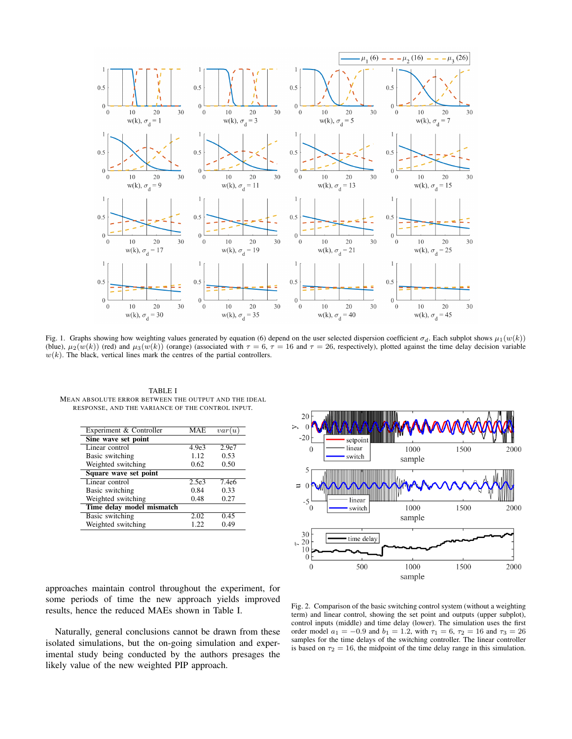

Fig. 1. Graphs showing how weighting values generated by equation (6) depend on the user selected dispersion coefficient  $\sigma_d$ . Each subplot shows  $\mu_1(w(k))$ (blue),  $\mu_2(w(k))$  (red) and  $\mu_3(w(k))$  (orange) (associated with  $\tau = 6$ ,  $\tau = 16$  and  $\tau = 26$ , respectively), plotted against the time delay decision variable  $w(k)$ . The black, vertical lines mark the centres of the partial controllers.

TABLE I MEAN ABSOLUTE ERROR BETWEEN THE OUTPUT AND THE IDEAL RESPONSE, AND THE VARIANCE OF THE CONTROL INPUT.

| Experiment & Controller   | MAE.              | var(u)            |
|---------------------------|-------------------|-------------------|
| Sine wave set point       |                   |                   |
| Linear control            | 4.9e3             | 2.9e7             |
| Basic switching           | 1.12              | 0.53              |
| Weighted switching        | 0.62              | 0.50              |
| Square wave set point     |                   |                   |
| Linear control            | 2.5e <sub>3</sub> | 7.4e <sub>6</sub> |
| Basic switching           | 0.84              | 0.33              |
| Weighted switching        | 0.48              | 0.27              |
| Time delay model mismatch |                   |                   |
| Basic switching           | 2.02              | 0.45              |
| Weighted switching        | 1.22              | 0.49              |
|                           |                   |                   |



approaches maintain control throughout the experiment, for some periods of time the new approach yields improved results, hence the reduced MAEs shown in Table I.

Naturally, general conclusions cannot be drawn from these isolated simulations, but the on-going simulation and experimental study being conducted by the authors presages the likely value of the new weighted PIP approach.

Fig. 2. Comparison of the basic switching control system (without a weighting term) and linear control, showing the set point and outputs (upper subplot), control inputs (middle) and time delay (lower). The simulation uses the first order model  $a_1 = -0.9$  and  $b_1 = 1.2$ , with  $\tau_1 = 6$ ,  $\tau_2 = 16$  and  $\tau_3 = 26$ samples for the time delays of the switching controller. The linear controller is based on  $\tau_2 = 16$ , the midpoint of the time delay range in this simulation.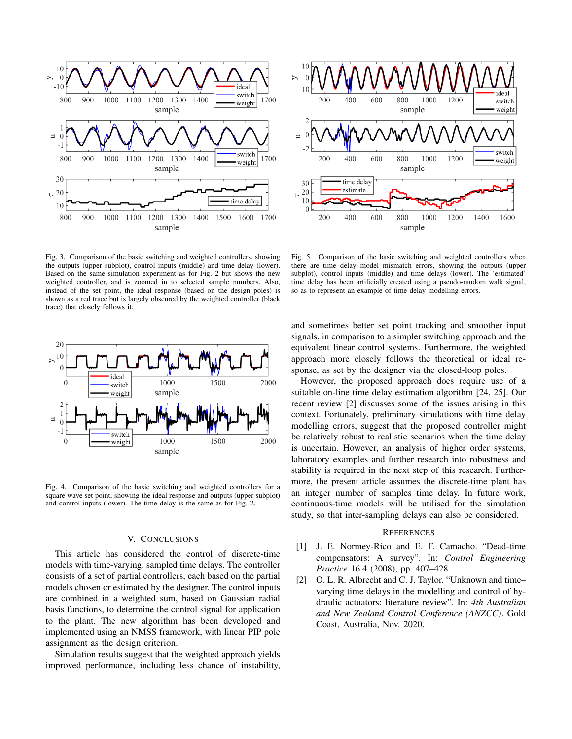

Fig. 3. Comparison of the basic switching and weighted controllers, showing the outputs (upper subplot), control inputs (middle) and time delay (lower). Based on the same simulation experiment as for Fig. 2 but shows the new weighted controller, and is zoomed in to selected sample numbers. Also, instead of the set point, the ideal response (based on the design poles) is shown as a red trace but is largely obscured by the weighted controller (black trace) that closely follows it.



Fig. 4. Comparison of the basic switching and weighted controllers for a square wave set point, showing the ideal response and outputs (upper subplot) and control inputs (lower). The time delay is the same as for Fig. 2.

### V. CONCLUSIONS

This article has considered the control of discrete-time models with time-varying, sampled time delays. The controller consists of a set of partial controllers, each based on the partial models chosen or estimated by the designer. The control inputs are combined in a weighted sum, based on Gaussian radial basis functions, to determine the control signal for application to the plant. The new algorithm has been developed and implemented using an NMSS framework, with linear PIP pole assignment as the design criterion.

Simulation results suggest that the weighted approach yields improved performance, including less chance of instability,



Fig. 5. Comparison of the basic switching and weighted controllers when there are time delay model mismatch errors, showing the outputs (upper subplot), control inputs (middle) and time delays (lower). The 'estimated' time delay has been artificially created using a pseudo-random walk signal, so as to represent an example of time delay modelling errors.

and sometimes better set point tracking and smoother input signals, in comparison to a simpler switching approach and the equivalent linear control systems. Furthermore, the weighted approach more closely follows the theoretical or ideal response, as set by the designer via the closed-loop poles.

However, the proposed approach does require use of a suitable on-line time delay estimation algorithm [24, 25]. Our recent review [2] discusses some of the issues arising in this context. Fortunately, preliminary simulations with time delay modelling errors, suggest that the proposed controller might be relatively robust to realistic scenarios when the time delay is uncertain. However, an analysis of higher order systems, laboratory examples and further research into robustness and stability is required in the next step of this research. Furthermore, the present article assumes the discrete-time plant has an integer number of samples time delay. In future work, continuous-time models will be utilised for the simulation study, so that inter-sampling delays can also be considered.

#### **REFERENCES**

- [1] J. E. Normey-Rico and E. F. Camacho. "Dead-time compensators: A survey". In: *Control Engineering Practice* 16.4 (2008), pp. 407–428.
- [2] O. L. R. Albrecht and C. J. Taylor. "Unknown and time– varying time delays in the modelling and control of hydraulic actuators: literature review". In: *4th Australian and New Zealand Control Conference (ANZCC)*. Gold Coast, Australia, Nov. 2020.